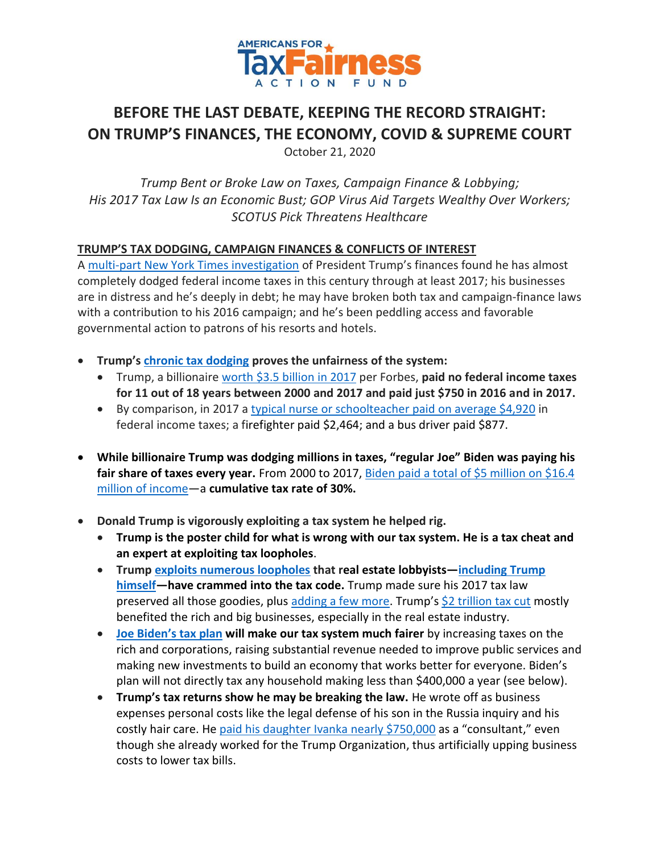

# **BEFORE THE LAST DEBATE, KEEPING THE RECORD STRAIGHT: ON TRUMP'S FINANCES, THE ECONOMY, COVID & SUPREME COURT**

October 21, 2020

*Trump Bent or Broke Law on Taxes, Campaign Finance & Lobbying; His 2017 Tax Law Is an Economic Bust; GOP Virus Aid Targets Wealthy Over Workers; SCOTUS Pick Threatens Healthcare* 

## **TRUMP'S TAX DODGING, CAMPAIGN FINANCES & CONFLICTS OF INTEREST**

A [multi-part New York Times investigation](https://www.nytimes.com/2020/09/27/us/trump-taxes-editors-note.html) of President Trump's finances found he has almost completely dodged federal income taxes in this century through at least 2017; his businesses are in distress and he's deeply in debt; he may have broken both tax and campaign-finance laws with a contribution to his 2016 campaign; and he's been peddling access and favorable governmental action to patrons of his resorts and hotels.

- **Trump's [chronic tax dodging](https://www.nytimes.com/interactive/2020/09/27/us/donald-trump-taxes.html) proves the unfairness of the system:**
	- Trump, a billionair[e worth \\$3.5](https://docs.google.com/spreadsheets/d/1JThOdF95e0NYoea5pCWd5UDXLmIGc1Fwj1aajDSYYhk/edit?usp=sharing) billion in 2017 per Forbes, **paid no federal income taxes for 11 out of 18 years between 2000 and 2017 and paid just \$750 in 2016 and in 2017.**
	- By comparison, in 2017 a [typical nurse or schoolteacher paid on average \\$4,920](https://americansfortaxfairness.org/issue/years-past-20-billionaire-trump-paid-less-taxes-bus-drivers-hairdressers/) in federal income taxes; a firefighter paid \$2,464; and a bus driver paid \$877.
- **While billionaire Trump was dodging millions in taxes, "regular Joe" Biden was paying his**  fair share of taxes every year. From 2000 to 2017, Biden paid a total of \$5 million on \$16.4 [million of income](https://atfactionfund.org/while-billionaire-trump-was-dodging-millions-in-taxes-regular-joe-biden-was-paying-his-every-year/)—a **cumulative tax rate of 30%.**
- **Donald Trump is vigorously exploiting a tax system he helped rig.**
	- **Trump is the poster child for what is wrong with our tax system. He is a tax cheat and an expert at exploiting tax loopholes**.
	- **Trump [exploits numerous loopholes](https://itep.sfo2.digitaloceanspaces.com/trumprealestatereport-1.pdf) that real estate lobbyists—[including](https://www.nytimes.com/2016/10/07/us/politics/donald-trump-taxes.html) Trump [himself](https://www.nytimes.com/2016/10/07/us/politics/donald-trump-taxes.html)—have crammed into the tax code.** Trump made sure his 2017 tax law preserved all those goodies, plus [adding a few more.](https://americansfortaxfairness.org/wp-content/uploads/How-Trump-Benefits-from-the-Trump-GOP-Tax-Law-12-22-17-FINAL.pdf) Trump's [\\$2 trillion tax cut](https://americansfortaxfairness.org/promise-will-middle-class-tax-cut/) mostly benefited the rich and big businesses, especially in the real estate industry.
	- **[Joe Biden](https://atfactionfund.org/wp-content/uploads/2020/09/4-ATFAF-Joe-Bidens-Tax-Plan-.pdf)'s tax plan will make our tax system much fairer** by increasing taxes on the rich and corporations, raising substantial revenue needed to improve public services and making new investments to build an economy that works better for everyone. Biden's plan will not directly tax any household making less than \$400,000 a year (see below).
	- **Trump's tax returns show he may be breaking the law.** He wrote off as business expenses personal costs like the legal defense of his son in the Russia inquiry and his costly hair care. He [paid his daughter Ivanka nearly \\$750,000](https://www.nytimes.com/interactive/2020/09/27/us/donald-trump-taxes.html) as a "consultant," even though she already worked for the Trump Organization, thus artificially upping business costs to lower tax bills.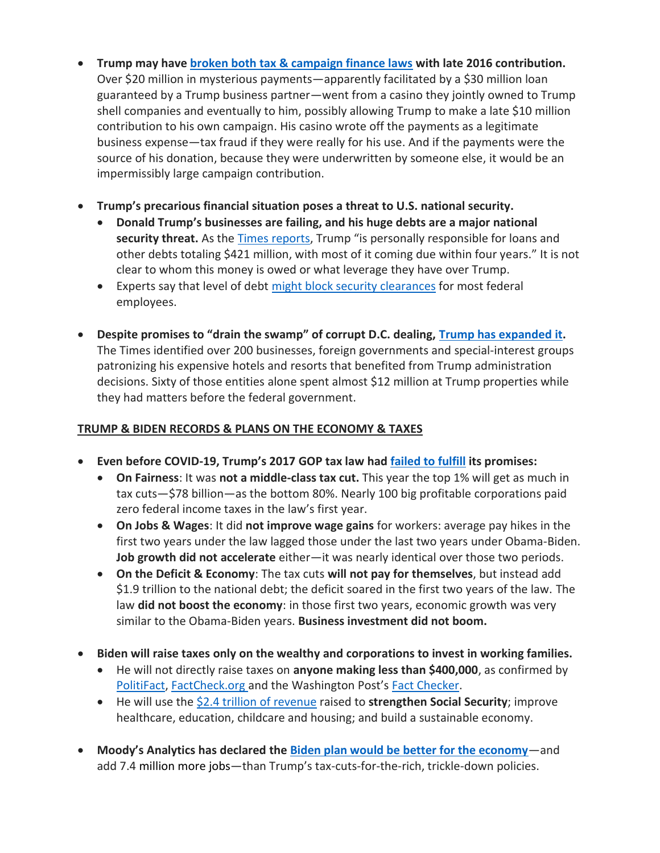- **Trump may have [broken both tax & campaign finance laws](https://www.nytimes.com/interactive/2020/10/09/us/donald-trump-taxes-las-vegas.html) with late 2016 contribution.**  Over \$20 million in mysterious payments—apparently facilitated by a \$30 million loan guaranteed by a Trump business partner—went from a casino they jointly owned to Trump shell companies and eventually to him, possibly allowing Trump to make a late \$10 million contribution to his own campaign. His casino wrote off the payments as a legitimate business expense—tax fraud if they were really for his use. And if the payments were the source of his donation, because they were underwritten by someone else, it would be an impermissibly large campaign contribution.
- **Trump's precarious financial situation poses a threat to U.S. national security.**
	- **Donald Trump's businesses are failing, and his huge debts are a major national**  security threat. As the [Times reports,](https://www.nytimes.com/interactive/2020/09/27/us/donald-trump-taxes.html?smid=tw-nytimes&smtyp=cur) Trump "is personally responsible for loans and other debts totaling \$421 million, with most of it coming due within four years." It is not clear to whom this money is owed or what leverage they have over Trump.
	- Experts say that level of debt [might block security clearances](https://apnews.com/article/ap-top-news-donald-trump-business-elizabeth-warren-national-security-042cc007c36cf773558bfd250c9701df) for most federal employees.
- **Despite promises to "drain the swamp" of corrupt D.C. dealing, [Trump has expanded](https://www.nytimes.com/interactive/2020/10/10/us/trump-properties-swamp.html) it.**  The Times identified over 200 businesses, foreign governments and special-interest groups patronizing his expensive hotels and resorts that benefited from Trump administration decisions. Sixty of those entities alone spent almost \$12 million at Trump properties while they had matters before the federal government.

# **TRUMP & BIDEN RECORDS & PLANS ON THE ECONOMY & TAXES**

- **Even before COVID-19, Trump's 2017 GOP tax law had [failed to fulfill](https://americansfortaxfairness.org/wp-content/uploads/Chartbook-Trump-GOP-Tax-Cuts-Fail-Workers-The-Economy-Rev-9-25-20.pdf) its promises:**
	- **On Fairness**: It was **not a middle-class tax cut.** This year the top 1% will get as much in tax cuts—\$78 billion—as the bottom 80%. Nearly 100 big profitable corporations paid zero federal income taxes in the law's first year.
	- **On Jobs & Wages**: It did **not improve wage gains** for workers: average pay hikes in the first two years under the law lagged those under the last two years under Obama-Biden. **Job growth did not accelerate** either—it was nearly identical over those two periods.
	- **On the Deficit & Economy**: The tax cuts **will not pay for themselves**, but instead add \$1.9 trillion to the national debt; the deficit soared in the first two years of the law. The law **did not boost the economy**: in those first two years, economic growth was very similar to the Obama-Biden years. **Business investment did not boom.**
- **Biden will raise taxes only on the wealthy and corporations to invest in working families.** 
	- He will not directly raise taxes on **anyone making less than \$400,000**, as confirmed by [PolitiFact,](https://www.politifact.com/factchecks/2020/aug/25/nikki-haley/do-joe-biden-and-kamala-harris-want-massive-tax-hi/) [FactCheck.org](https://www.factcheck.org/2020/08/posts-distort-impact-of-bidens-tax-plan-on-middle-income-earners/) and the Washington Post's [Fact Checker.](https://www.washingtonpost.com/politics/2020/08/31/joe-bidens-claim-that-he-wont-raise-taxes-people-making-less-than-400000/)
	- He will use the [\\$2.4 trillion of revenue](https://www.taxpolicycenter.org/publications/updated-analysis-former-vice-president-bidens-tax-proposals) raised to **strengthen Social Security**; improve healthcare, education, childcare and housing; and build a sustainable economy.
- **Moody's Analytics has declared the [Biden plan would be better for the economy](https://www.forbes.com/sites/sergeiklebnikov/2020/09/25/biden-democratic-sweep-would-be-best-outcome-for-the-economy-moodys-says/#61c7ccc24283)**—and add 7.4 million more jobs—than Trump's tax-cuts-for-the-rich, trickle-down policies.